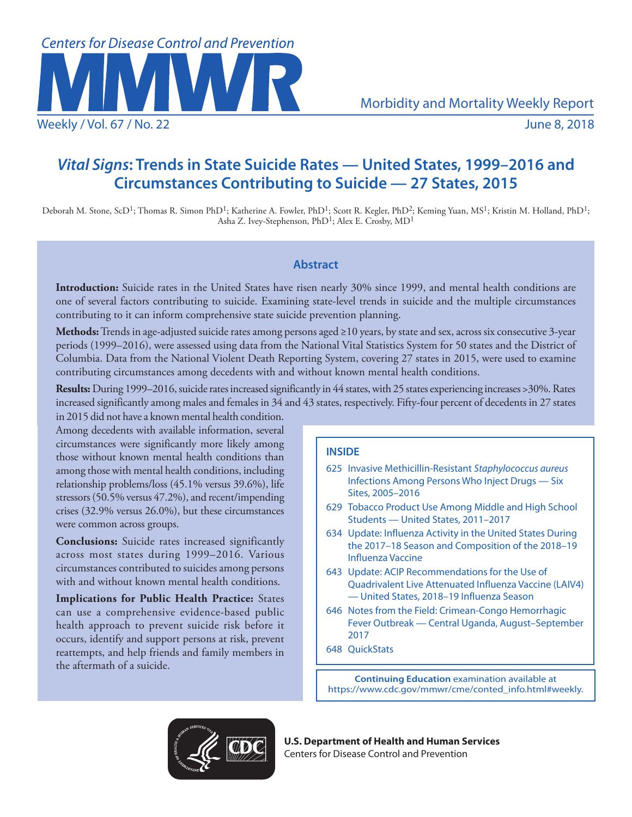

# *Vital Signs***: Trends in State Suicide Rates — United States, 1999–2016 and Circumstances Contributing to Suicide — 27 States, 2015**

Deborah M. Stone, ScD<sup>1</sup>; Thomas R. Simon PhD<sup>1</sup>; Katherine A. Fowler, PhD<sup>1</sup>; Scott R. Kegler, PhD<sup>2</sup>; Keming Yuan, MS<sup>1</sup>; Kristin M. Holland, PhD<sup>1</sup>; Asha Z. Ivey-Stephenson, PhD<sup>1</sup>; Alex E. Crosby, MD<sup>1</sup>

# **Abstract**

**Introduction:** Suicide rates in the United States have risen nearly 30% since 1999, and mental health conditions are one of several factors contributing to suicide. Examining state-level trends in suicide and the multiple circumstances contributing to it can inform comprehensive state suicide prevention planning.

**Methods:** Trends in age-adjusted suicide rates among persons aged ≥10 years, by state and sex, across six consecutive 3-year periods (1999–2016), were assessed using data from the National Vital Statistics System for 50 states and the District of Columbia. Data from the National Violent Death Reporting System, covering 27 states in 2015, were used to examine contributing circumstances among decedents with and without known mental health conditions.

**Results:** During 1999–2016, suicide rates increased significantly in 44 states, with 25 states experiencing increases >30%. Rates increased significantly among males and females in 34 and 43 states, respectively. Fifty-four percent of decedents in 27 states

in 2015 did not have a known mental health condition. Among decedents with available information, several circumstances were significantly more likely among those without known mental health conditions than among those with mental health conditions, including relationship problems/loss (45.1% versus 39.6%), life stressors (50.5% versus 47.2%), and recent/impending crises (32.9% versus 26.0%), but these circumstances were common across groups.

**Conclusions:** Suicide rates increased significantly across most states during 1999–2016. Various circumstances contributed to suicides among persons with and without known mental health conditions.

**Implications for Public Health Practice:** States can use a comprehensive evidence-based public health approach to prevent suicide risk before it occurs, identify and support persons at risk, prevent reattempts, and help friends and family members in the aftermath of a suicide.

# **INSIDE**

- 625 Invasive Methicillin-Resistant *Staphylococcus aureus*  Infections Among Persons Who Inject Drugs — Six Sites, 2005–2016
- 629 Tobacco Product Use Among Middle and High School Students — United States, 2011–2017
- 634 Update: Influenza Activity in the United States During the 2017–18 Season and Composition of the 2018–19 Influenza Vaccine
- 643 Update: ACIP Recommendations for the Use of Quadrivalent Live Attenuated Influenza Vaccine (LAIV4) — United States, 2018–19 Influenza Season
- 646 Notes from the Field: Crimean-Congo Hemorrhagic Fever Outbreak — Central Uganda, August–September 2017
- 648 QuickStats

**Continuing Education** examination available at [https://www.cdc.gov/mmwr/cme/conted\\_info.html#weekly](https://www.cdc.gov/mmwr/cme/conted_info.html#weekly).



**U.S. Department of Health and Human Services** Centers for Disease Control and Prevention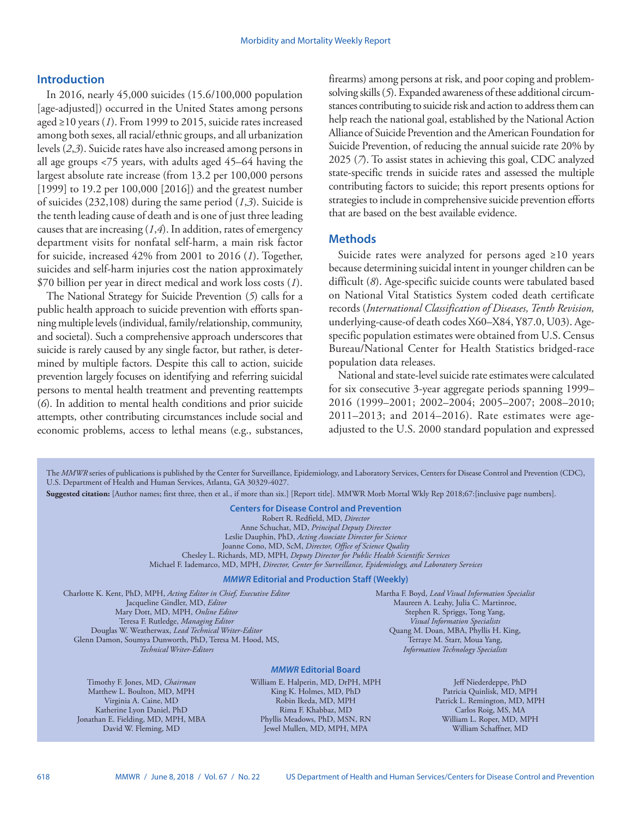## **Introduction**

In 2016, nearly 45,000 suicides (15.6/100,000 population [age-adjusted]) occurred in the United States among persons aged ≥10 years (*1*). From 1999 to 2015, suicide rates increased among both sexes, all racial/ethnic groups, and all urbanization levels (*2*,*3*). Suicide rates have also increased among persons in all age groups <75 years, with adults aged 45–64 having the largest absolute rate increase (from 13.2 per 100,000 persons [1999] to 19.2 per 100,000 [2016]) and the greatest number of suicides (232,108) during the same period (*1*,*3*). Suicide is the tenth leading cause of death and is one of just three leading causes that are increasing (*1*,*4*). In addition, rates of emergency department visits for nonfatal self-harm, a main risk factor for suicide, increased 42% from 2001 to 2016 (*1*). Together, suicides and self-harm injuries cost the nation approximately \$70 billion per year in direct medical and work loss costs (*1*).

The National Strategy for Suicide Prevention (*5*) calls for a public health approach to suicide prevention with efforts spanning multiple levels (individual, family/relationship, community, and societal). Such a comprehensive approach underscores that suicide is rarely caused by any single factor, but rather, is determined by multiple factors. Despite this call to action, suicide prevention largely focuses on identifying and referring suicidal persons to mental health treatment and preventing reattempts (*6*). In addition to mental health conditions and prior suicide attempts, other contributing circumstances include social and economic problems, access to lethal means (e.g., substances, firearms) among persons at risk, and poor coping and problemsolving skills (*5*). Expanded awareness of these additional circumstances contributing to suicide risk and action to address them can help reach the national goal, established by the National Action Alliance of Suicide Prevention and the American Foundation for Suicide Prevention, of reducing the annual suicide rate 20% by 2025 (*7*). To assist states in achieving this goal, CDC analyzed state-specific trends in suicide rates and assessed the multiple contributing factors to suicide; this report presents options for strategies to include in comprehensive suicide prevention efforts that are based on the best available evidence.

## **Methods**

Suicide rates were analyzed for persons aged ≥10 years because determining suicidal intent in younger children can be difficult (*8*). Age-specific suicide counts were tabulated based on National Vital Statistics System coded death certificate records (*International Classification of Diseases, Tenth Revision,* underlying-cause-of death codes X60–X84, Y87.0, U03). Agespecific population estimates were obtained from U.S. Census Bureau/National Center for Health Statistics bridged-race population data releases.

National and state-level suicide rate estimates were calculated for six consecutive 3-year aggregate periods spanning 1999– 2016 (1999–2001; 2002–2004; 2005–2007; 2008–2010; 2011–2013; and 2014–2016). Rate estimates were ageadjusted to the U.S. 2000 standard population and expressed

The *MMWR* series of publications is published by the Center for Surveillance, Epidemiology, and Laboratory Services, Centers for Disease Control and Prevention (CDC), U.S. Department of Health and Human Services, Atlanta, GA 30329-4027.

**Suggested citation:** [Author names; first three, then et al., if more than six.] [Report title]. MMWR Morb Mortal Wkly Rep 2018;67:[inclusive page numbers].

**Centers for Disease Control and Prevention** Robert R. Redfield, MD, *Director* Anne Schuchat, MD, *Principal Deputy Director* Leslie Dauphin, PhD, *Acting Associate Director for Science* Joanne Cono, MD, ScM, *Director, Office of Science Quality*  Chesley L. Richards, MD, MPH, *Deputy Director for Public Health Scientific Services* Michael F. Iademarco, MD, MPH, *Director, Center for Surveillance, Epidemiology, and Laboratory Services*

#### *MMWR* **Editorial and Production Staff (Weekly)**

Charlotte K. Kent, PhD, MPH, *Acting Editor in Chief, Executive Editor* Jacqueline Gindler, MD, *Editor* Mary Dott, MD, MPH, *Online Editor* Teresa F. Rutledge, *Managing Editor* Douglas W. Weatherwax, *Lead Technical Writer-Editor* Glenn Damon, Soumya Dunworth, PhD, Teresa M. Hood, MS, *Technical Writer-Editors*

Martha F. Boyd, *Lead Visual Information Specialist* Maureen A. Leahy, Julia C. Martinroe, Stephen R. Spriggs, Tong Yang, *Visual Information Specialists* Quang M. Doan, MBA, Phyllis H. King, Terraye M. Starr, Moua Yang, *Information Technology Specialists*

#### *MMWR* **Editorial Board**

Timothy F. Jones, MD, *Chairman* Matthew L. Boulton, MD, MPH Virginia A. Caine, MD Katherine Lyon Daniel, PhD Jonathan E. Fielding, MD, MPH, MBA David W. Fleming, MD

William E. Halperin, MD, DrPH, MPH King K. Holmes, MD, PhD Robin Ikeda, MD, MPH Rima F. Khabbaz, MD Phyllis Meadows, PhD, MSN, RN Jewel Mullen, MD, MPH, MPA

Jeff Niederdeppe, PhD Patricia Quinlisk, MD, MPH Patrick L. Remington, MD, MPH Carlos Roig, MS, MA William L. Roper, MD, MPH William Schaffner, MD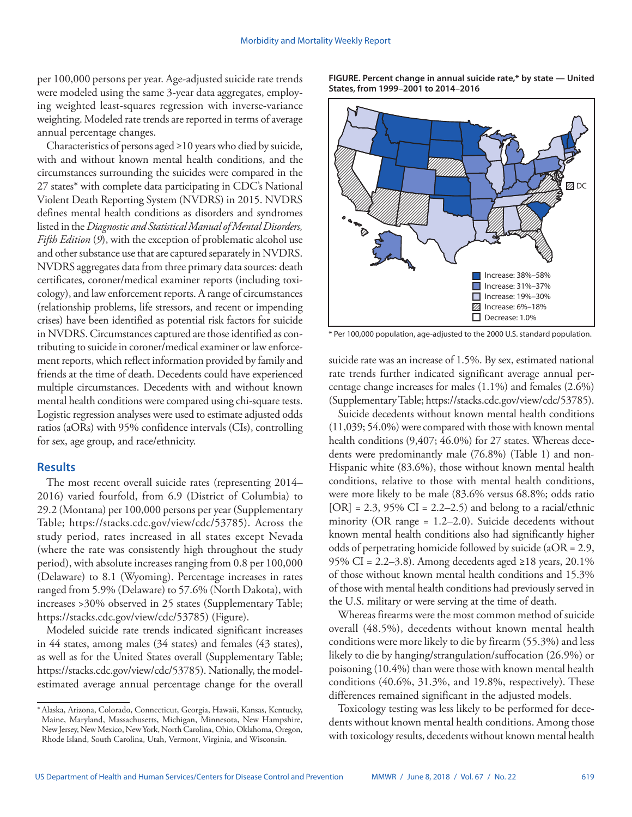per 100,000 persons per year. Age-adjusted suicide rate trends were modeled using the same 3-year data aggregates, employing weighted least-squares regression with inverse-variance weighting. Modeled rate trends are reported in terms of average annual percentage changes.

Characteristics of persons aged ≥10 years who died by suicide, with and without known mental health conditions, and the circumstances surrounding the suicides were compared in the 27 states\* with complete data participating in CDC's National Violent Death Reporting System (NVDRS) in 2015. NVDRS defines mental health conditions as disorders and syndromes listed in the *Diagnostic and Statistical Manual of Mental Disorders, Fifth Edition* (*9*), with the exception of problematic alcohol use and other substance use that are captured separately in NVDRS. NVDRS aggregates data from three primary data sources: death certificates, coroner/medical examiner reports (including toxicology), and law enforcement reports. A range of circumstances (relationship problems, life stressors, and recent or impending crises) have been identified as potential risk factors for suicide in NVDRS. Circumstances captured are those identified as contributing to suicide in coroner/medical examiner or law enforcement reports, which reflect information provided by family and friends at the time of death. Decedents could have experienced multiple circumstances. Decedents with and without known mental health conditions were compared using chi-square tests. Logistic regression analyses were used to estimate adjusted odds ratios (aORs) with 95% confidence intervals (CIs), controlling for sex, age group, and race/ethnicity.

# **Results**

The most recent overall suicide rates (representing 2014– 2016) varied fourfold, from 6.9 (District of Columbia) to 29.2 (Montana) per 100,000 persons per year (Supplementary Table; <https://stacks.cdc.gov/view/cdc/53785>). Across the study period, rates increased in all states except Nevada (where the rate was consistently high throughout the study period), with absolute increases ranging from 0.8 per 100,000 (Delaware) to 8.1 (Wyoming). Percentage increases in rates ranged from 5.9% (Delaware) to 57.6% (North Dakota), with increases >30% observed in 25 states (Supplementary Table; [https://stacks.cdc.gov/view/cdc/53785\)](https://stacks.cdc.gov/view/cdc/53785) (Figure).

Modeled suicide rate trends indicated significant increases in 44 states, among males (34 states) and females (43 states), as well as for the United States overall (Supplementary Table; [https://stacks.cdc.gov/view/cdc/53785\)](https://stacks.cdc.gov/view/cdc/53785). Nationally, the modelestimated average annual percentage change for the overall **FIGURE. Percent change in annual suicide rate,\* by state — United States, from 1999–2001 to 2014–2016**



\* Per 100,000 population, age-adjusted to the 2000 U.S. standard population.

suicide rate was an increase of 1.5%. By sex, estimated national rate trends further indicated significant average annual percentage change increases for males (1.1%) and females (2.6%) (Supplementary Table; [https://stacks.cdc.gov/view/cdc/53785\)](https://stacks.cdc.gov/view/cdc/53785).

Suicide decedents without known mental health conditions (11,039; 54.0%) were compared with those with known mental health conditions (9,407; 46.0%) for 27 states. Whereas decedents were predominantly male (76.8%) (Table 1) and non-Hispanic white (83.6%), those without known mental health conditions, relative to those with mental health conditions, were more likely to be male (83.6% versus 68.8%; odds ratio  $[OR] = 2.3$ , 95% CI = 2.2–2.5) and belong to a racial/ethnic minority (OR range = 1.2–2.0). Suicide decedents without known mental health conditions also had significantly higher odds of perpetrating homicide followed by suicide (aOR = 2.9, 95% CI = 2.2–3.8). Among decedents aged ≥18 years, 20.1% of those without known mental health conditions and 15.3% of those with mental health conditions had previously served in the U.S. military or were serving at the time of death.

Whereas firearms were the most common method of suicide overall (48.5%), decedents without known mental health conditions were more likely to die by firearm (55.3%) and less likely to die by hanging/strangulation/suffocation (26.9%) or poisoning (10.4%) than were those with known mental health conditions (40.6%, 31.3%, and 19.8%, respectively). These differences remained significant in the adjusted models.

Toxicology testing was less likely to be performed for decedents without known mental health conditions. Among those with toxicology results, decedents without known mental health

<sup>\*</sup>Alaska, Arizona, Colorado, Connecticut, Georgia, Hawaii, Kansas, Kentucky, Maine, Maryland, Massachusetts, Michigan, Minnesota, New Hampshire, New Jersey, New Mexico, New York, North Carolina, Ohio, Oklahoma, Oregon, Rhode Island, South Carolina, Utah, Vermont, Virginia, and Wisconsin.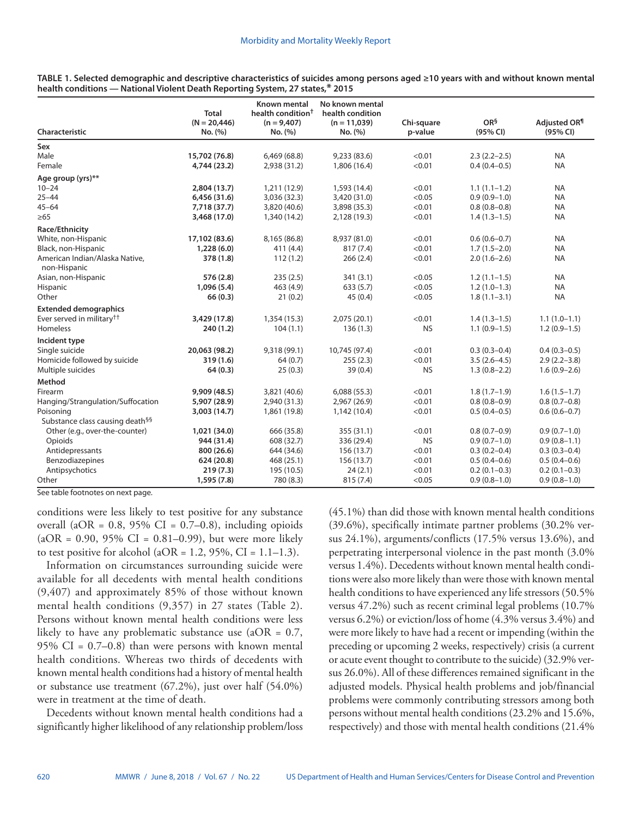| Characteristic                                 | <b>Total</b><br>$(N = 20,446)$<br>No. (%) | <b>Known mental</b><br>health condition <sup>†</sup><br>$(n = 9,407)$<br>No. (%) | No known mental<br>health condition<br>$(n = 11,039)$<br>No. (%) | Chi-square<br>p-value | $OR^5$<br>(95% CI) | Adjusted OR <sup>¶</sup><br>(95% CI) |  |
|------------------------------------------------|-------------------------------------------|----------------------------------------------------------------------------------|------------------------------------------------------------------|-----------------------|--------------------|--------------------------------------|--|
| Sex                                            |                                           |                                                                                  |                                                                  |                       |                    |                                      |  |
| Male                                           | 15,702 (76.8)                             | 6,469 (68.8)                                                                     | 9,233 (83.6)                                                     | < 0.01                | $2.3(2.2-2.5)$     | <b>NA</b>                            |  |
| Female                                         | 4,744 (23.2)                              | 2,938 (31.2)                                                                     | 1,806 (16.4)                                                     | < 0.01                | $0.4(0.4 - 0.5)$   | <b>NA</b>                            |  |
| Age group (yrs)**                              |                                           |                                                                                  |                                                                  |                       |                    |                                      |  |
| $10 - 24$                                      | 2,804 (13.7)                              | 1,211 (12.9)                                                                     | 1,593 (14.4)                                                     | < 0.01                | $1.1(1.1-1.2)$     | <b>NA</b>                            |  |
| $25 - 44$                                      | 6,456 (31.6)                              | 3,036 (32.3)                                                                     | 3,420 (31.0)                                                     | < 0.05                | $0.9(0.9-1.0)$     | <b>NA</b>                            |  |
| $45 - 64$                                      | 7,718 (37.7)                              | 3,820 (40.6)                                                                     | 3,898 (35.3)                                                     | < 0.01                | $0.8(0.8-0.8)$     | <b>NA</b>                            |  |
| $\geq 65$                                      | 3,468 (17.0)                              | 1,340 (14.2)                                                                     | 2,128 (19.3)                                                     | < 0.01                | $1.4(1.3-1.5)$     | <b>NA</b>                            |  |
| Race/Ethnicity                                 |                                           |                                                                                  |                                                                  |                       |                    |                                      |  |
| White, non-Hispanic                            | 17,102 (83.6)                             | 8,165 (86.8)                                                                     | 8,937 (81.0)                                                     | < 0.01                | $0.6(0.6 - 0.7)$   | <b>NA</b>                            |  |
| Black, non-Hispanic                            | 1,228(6.0)                                | 411 (4.4)                                                                        | 817 (7.4)                                                        | < 0.01                | $1.7(1.5-2.0)$     | <b>NA</b>                            |  |
| American Indian/Alaska Native,<br>non-Hispanic | 378 (1.8)                                 | 112(1.2)                                                                         | 266(2.4)                                                         | < 0.01                | $2.0(1.6-2.6)$     | <b>NA</b>                            |  |
| Asian, non-Hispanic                            | 576 (2.8)                                 | 235(2.5)                                                                         | 341(3.1)                                                         | < 0.05                | $1.2(1.1-1.5)$     | <b>NA</b>                            |  |
| Hispanic                                       | 1,096(5.4)                                | 463 (4.9)                                                                        | 633(5.7)                                                         | < 0.05                | $1.2(1.0-1.3)$     | <b>NA</b>                            |  |
| Other                                          | 66(0.3)                                   | 21(0.2)                                                                          | 45(0.4)                                                          | < 0.05                | $1.8(1.1-3.1)$     | <b>NA</b>                            |  |
| <b>Extended demographics</b>                   |                                           |                                                                                  |                                                                  |                       |                    |                                      |  |
| Ever served in military <sup>††</sup>          | 3,429 (17.8)                              | 1,354 (15.3)                                                                     | 2,075(20.1)                                                      | < 0.01                | $1.4(1.3-1.5)$     | $1.1(1.0-1.1)$                       |  |
| <b>Homeless</b>                                | 240 (1.2)                                 | 104(1.1)                                                                         | 136(1.3)                                                         | <b>NS</b>             | $1.1(0.9-1.5)$     | $1.2(0.9-1.5)$                       |  |
| Incident type                                  |                                           |                                                                                  |                                                                  |                       |                    |                                      |  |
| Single suicide                                 | 20,063 (98.2)                             | 9,318 (99.1)                                                                     | 10,745 (97.4)                                                    | < 0.01                | $0.3(0.3-0.4)$     | $0.4(0.3-0.5)$                       |  |
| Homicide followed by suicide                   | 319 (1.6)                                 | 64(0.7)                                                                          | 255(2.3)                                                         | < 0.01                | $3.5(2.6-4.5)$     | $2.9(2.2 - 3.8)$                     |  |
| Multiple suicides                              | 64(0.3)                                   | 25(0.3)                                                                          | 39(0.4)                                                          | <b>NS</b>             | $1.3(0.8-2.2)$     | $1.6(0.9-2.6)$                       |  |
| Method                                         |                                           |                                                                                  |                                                                  |                       |                    |                                      |  |
| Firearm                                        | 9,909 (48.5)                              | 3,821 (40.6)                                                                     | 6,088(55.3)                                                      | < 0.01                | $1.8(1.7-1.9)$     | $1.6(1.5-1.7)$                       |  |
| Hanging/Strangulation/Suffocation              | 5,907 (28.9)                              | 2,940 (31.3)                                                                     | 2,967 (26.9)                                                     | < 0.01                | $0.8(0.8-0.9)$     | $0.8(0.7-0.8)$                       |  |
| Poisoning                                      | 3,003 (14.7)                              | 1,861 (19.8)                                                                     | 1,142 (10.4)                                                     | < 0.01                | $0.5(0.4-0.5)$     | $0.6(0.6-0.7)$                       |  |
| Substance class causing death <sup>§§</sup>    |                                           |                                                                                  |                                                                  |                       |                    |                                      |  |
| Other (e.g., over-the-counter)                 | 1,021 (34.0)                              | 666 (35.8)                                                                       | 355 (31.1)                                                       | < 0.01                | $0.8(0.7-0.9)$     | $0.9(0.7-1.0)$                       |  |
| Opioids                                        | 944 (31.4)                                | 608 (32.7)                                                                       | 336 (29.4)                                                       | <b>NS</b>             | $0.9(0.7-1.0)$     | $0.9(0.8-1.1)$                       |  |
| Antidepressants                                | 800 (26.6)                                | 644 (34.6)                                                                       | 156 (13.7)                                                       | < 0.01                | $0.3(0.2 - 0.4)$   | $0.3(0.3-0.4)$                       |  |
| Benzodiazepines                                | 624 (20.8)                                | 468 (25.1)                                                                       | 156 (13.7)                                                       | < 0.01                | $0.5(0.4-0.6)$     | $0.5(0.4-0.6)$                       |  |
| Antipsychotics                                 | 219(7.3)                                  | 195 (10.5)                                                                       | 24(2.1)                                                          | < 0.01                | $0.2(0.1-0.3)$     | $0.2(0.1-0.3)$                       |  |
| Other                                          | 1,595(7.8)                                | 780 (8.3)                                                                        | 815 (7.4)                                                        | < 0.05                | $0.9(0.8-1.0)$     | $0.9(0.8-1.0)$                       |  |

**TABLE 1. Selected demographic and descriptive characteristics of suicides among persons aged ≥10 years with and without known mental health conditions — National Violent Death Reporting System, 27 states,\* 2015**

See table footnotes on next page.

conditions were less likely to test positive for any substance overall (aOR =  $0.8$ ,  $95\%$  CI =  $0.7-0.8$ ), including opioids  $(aOR = 0.90, 95\% \text{ CI} = 0.81-0.99)$ , but were more likely to test positive for alcohol ( $aOR = 1.2$ ,  $95\%$ ,  $CI = 1.1-1.3$ ).

Information on circumstances surrounding suicide were available for all decedents with mental health conditions (9,407) and approximately 85% of those without known mental health conditions (9,357) in 27 states (Table 2). Persons without known mental health conditions were less likely to have any problematic substance use (aOR =  $0.7$ , 95% CI =  $0.7-0.8$ ) than were persons with known mental health conditions. Whereas two thirds of decedents with known mental health conditions had a history of mental health or substance use treatment (67.2%), just over half (54.0%) were in treatment at the time of death.

Decedents without known mental health conditions had a significantly higher likelihood of any relationship problem/loss (45.1%) than did those with known mental health conditions (39.6%), specifically intimate partner problems (30.2% versus 24.1%), arguments/conflicts (17.5% versus 13.6%), and perpetrating interpersonal violence in the past month (3.0% versus 1.4%). Decedents without known mental health conditions were also more likely than were those with known mental health conditions to have experienced any life stressors (50.5% versus 47.2%) such as recent criminal legal problems (10.7% versus 6.2%) or eviction/loss of home (4.3% versus 3.4%) and were more likely to have had a recent or impending (within the preceding or upcoming 2 weeks, respectively) crisis (a current or acute event thought to contribute to the suicide) (32.9% versus 26.0%). All of these differences remained significant in the adjusted models. Physical health problems and job/financial problems were commonly contributing stressors among both persons without mental health conditions (23.2% and 15.6%, respectively) and those with mental health conditions (21.4%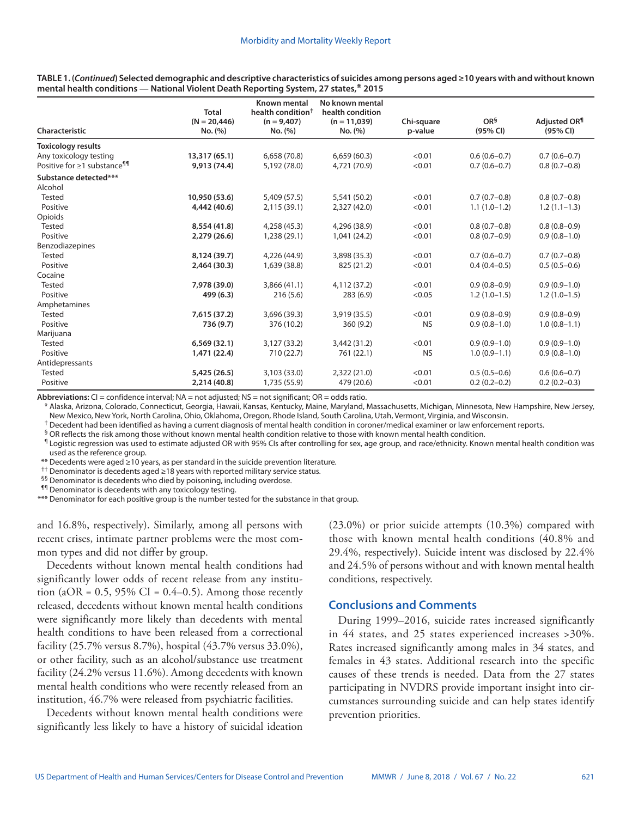| Characteristic                          | <b>Total</b><br>$(N = 20,446)$<br>No. (%) | <b>Known mental</b><br>health condition <sup>†</sup><br>$(n = 9,407)$<br>No. (%) | No known mental<br>health condition<br>$(n = 11,039)$<br>No. (%) | Chi-square<br>p-value | OR <sup>§</sup><br>(95% CI) | Adjusted OR <sup>¶</sup><br>(95% CI) |
|-----------------------------------------|-------------------------------------------|----------------------------------------------------------------------------------|------------------------------------------------------------------|-----------------------|-----------------------------|--------------------------------------|
| Toxicology results                      |                                           |                                                                                  |                                                                  |                       |                             |                                      |
| Any toxicology testing                  | 13,317 (65.1)                             | 6,658 (70.8)                                                                     | 6,659(60.3)                                                      | < 0.01                | $0.6(0.6-0.7)$              | $0.7(0.6-0.7)$                       |
| Positive for ≥1 substance <sup>¶¶</sup> | 9,913 (74.4)                              | 5,192 (78.0)                                                                     | 4,721 (70.9)                                                     | < 0.01                | $0.7(0.6-0.7)$              | $0.8(0.7-0.8)$                       |
| Substance detected***<br>Alcohol        |                                           |                                                                                  |                                                                  |                       |                             |                                      |
| <b>Tested</b>                           | 10,950 (53.6)                             | 5,409 (57.5)                                                                     | 5,541 (50.2)                                                     | < 0.01                | $0.7(0.7-0.8)$              | $0.8(0.7-0.8)$                       |
| Positive                                | 4,442 (40.6)                              | 2,115 (39.1)                                                                     | 2,327 (42.0)                                                     | < 0.01                | $1.1(1.0-1.2)$              | $1.2(1.1-1.3)$                       |
| Opioids                                 |                                           |                                                                                  |                                                                  |                       |                             |                                      |
| Tested                                  | 8,554 (41.8)                              | 4,258 (45.3)                                                                     | 4,296 (38.9)                                                     | < 0.01                | $0.8(0.7-0.8)$              | $0.8(0.8-0.9)$                       |
| Positive                                | 2,279 (26.6)                              | 1,238 (29.1)                                                                     | 1,041 (24.2)                                                     | < 0.01                | $0.8(0.7-0.9)$              | $0.9(0.8-1.0)$                       |
| Benzodiazepines                         |                                           |                                                                                  |                                                                  |                       |                             |                                      |
| <b>Tested</b>                           | 8,124 (39.7)                              | 4,226 (44.9)                                                                     | 3,898 (35.3)                                                     | < 0.01                | $0.7(0.6-0.7)$              | $0.7(0.7-0.8)$                       |
| Positive                                | 2,464 (30.3)                              | 1,639 (38.8)                                                                     | 825 (21.2)                                                       | < 0.01                | $0.4(0.4-0.5)$              | $0.5(0.5-0.6)$                       |
| Cocaine                                 |                                           |                                                                                  |                                                                  |                       |                             |                                      |
| <b>Tested</b>                           | 7,978 (39.0)                              | 3,866 (41.1)                                                                     | 4,112 (37.2)                                                     | < 0.01                | $0.9(0.8-0.9)$              | $0.9(0.9-1.0)$                       |
| Positive                                | 499 (6.3)                                 | 216(5.6)                                                                         | 283(6.9)                                                         | < 0.05                | $1.2(1.0-1.5)$              | $1.2(1.0-1.5)$                       |
| Amphetamines                            |                                           |                                                                                  |                                                                  |                       |                             |                                      |
| <b>Tested</b>                           | 7,615 (37.2)                              | 3,696 (39.3)                                                                     | 3,919 (35.5)                                                     | < 0.01                | $0.9(0.8-0.9)$              | $0.9(0.8-0.9)$                       |
| Positive                                | 736 (9.7)                                 | 376 (10.2)                                                                       | 360(9.2)                                                         | <b>NS</b>             | $0.9(0.8-1.0)$              | $1.0(0.8-1.1)$                       |
| Marijuana                               |                                           |                                                                                  |                                                                  |                       |                             |                                      |
| <b>Tested</b>                           | 6,569(32.1)                               | 3,127 (33.2)                                                                     | 3,442 (31.2)                                                     | < 0.01                | $0.9(0.9-1.0)$              | $0.9(0.9-1.0)$                       |
| Positive                                | 1,471 (22.4)                              | 710 (22.7)                                                                       | 761 (22.1)                                                       | <b>NS</b>             | $1.0(0.9-1.1)$              | $0.9(0.8-1.0)$                       |
| Antidepressants                         |                                           |                                                                                  |                                                                  |                       |                             |                                      |
| Tested                                  | 5,425 (26.5)                              | 3,103 (33.0)                                                                     | 2,322(21.0)                                                      | < 0.01                | $0.5(0.5-0.6)$              | $0.6(0.6-0.7)$                       |
| Positive                                | 2,214 (40.8)                              | 1,735 (55.9)                                                                     | 479 (20.6)                                                       | < 0.01                | $0.2(0.2-0.2)$              | $0.2(0.2-0.3)$                       |

**TABLE 1. (***Continued***) Selected demographic and descriptive characteristics of suicides among persons aged ≥10 years with and without known mental health conditions — National Violent Death Reporting System, 27 states,\* 2015**

Abbreviations: CI = confidence interval; NA = not adjusted; NS = not significant; OR = odds ratio.

\* Alaska, Arizona, Colorado, Connecticut, Georgia, Hawaii, Kansas, Kentucky, Maine, Maryland, Massachusetts, Michigan, Minnesota, New Hampshire, New Jersey, New Mexico, New York, North Carolina, Ohio, Oklahoma, Oregon, Rhode Island, South Carolina, Utah, Vermont, Virginia, and Wisconsin.

 $<sup>†</sup>$  Decedent had been identified as having a current diagnosis of mental health condition in coroner/medical examiner or law enforcement reports.</sup>

 $<sup>§</sup>$  OR reflects the risk among those without known mental health condition relative to those with known mental health condition.</sup>

¶ Logistic regression was used to estimate adjusted OR with 95% CIs after controlling for sex, age group, and race/ethnicity. Known mental health condition was used as the reference group.

\*\* Decedents were aged ≥10 years, as per standard in the suicide prevention literature.

†† Denominator is decedents aged ≥18 years with reported military service status.

<sup>§§</sup> Denominator is decedents who died by poisoning, including overdose.

¶¶ Denominator is decedents with any toxicology testing.

\*\*\* Denominator for each positive group is the number tested for the substance in that group.

and 16.8%, respectively). Similarly, among all persons with recent crises, intimate partner problems were the most common types and did not differ by group.

Decedents without known mental health conditions had significantly lower odds of recent release from any institution (aOR =  $0.5$ , 95% CI =  $0.4-0.5$ ). Among those recently released, decedents without known mental health conditions were significantly more likely than decedents with mental health conditions to have been released from a correctional facility (25.7% versus 8.7%), hospital (43.7% versus 33.0%), or other facility, such as an alcohol/substance use treatment facility (24.2% versus 11.6%). Among decedents with known mental health conditions who were recently released from an institution, 46.7% were released from psychiatric facilities.

Decedents without known mental health conditions were significantly less likely to have a history of suicidal ideation (23.0%) or prior suicide attempts (10.3%) compared with those with known mental health conditions (40.8% and 29.4%, respectively). Suicide intent was disclosed by 22.4% and 24.5% of persons without and with known mental health conditions, respectively.

## **Conclusions and Comments**

During 1999–2016, suicide rates increased significantly in 44 states, and 25 states experienced increases >30%. Rates increased significantly among males in 34 states, and females in 43 states. Additional research into the specific causes of these trends is needed. Data from the 27 states participating in NVDRS provide important insight into circumstances surrounding suicide and can help states identify prevention priorities.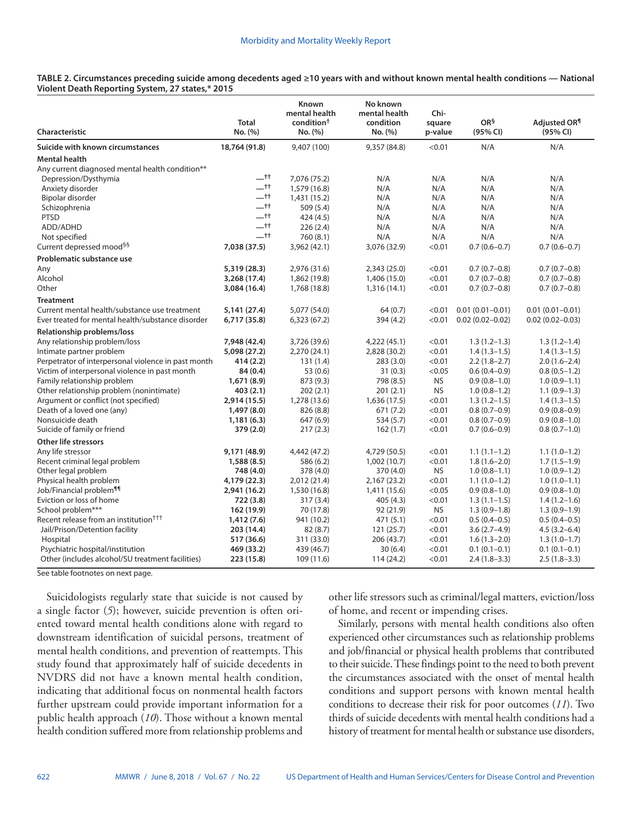**TABLE 2. Circumstances preceding suicide among decedents aged ≥10 years with and without known mental health conditions — National Violent Death Reporting System, 27 states,\* 2015**

| Characteristic                                                                       | <b>Total</b><br>No. (%) | Known<br>mental health<br>condition <sup>†</sup><br>No. (%) | No known<br>mental health<br>condition<br>No. (%) | Chi-<br>square<br>p-value | OR <sup>§</sup><br>(95% CI) | Adjusted OR <sup>¶</sup><br>(95% CI) |
|--------------------------------------------------------------------------------------|-------------------------|-------------------------------------------------------------|---------------------------------------------------|---------------------------|-----------------------------|--------------------------------------|
| Suicide with known circumstances                                                     | 18,764 (91.8)           | 9,407 (100)                                                 | 9,357 (84.8)                                      | < 0.01                    | N/A                         | N/A                                  |
| <b>Mental health</b><br>Any current diagnosed mental health condition**              |                         |                                                             |                                                   |                           |                             |                                      |
| Depression/Dysthymia                                                                 | $-$ tt                  | 7,076 (75.2)                                                | N/A                                               | N/A                       | N/A                         | N/A                                  |
| Anxiety disorder                                                                     | $-t$                    | 1,579 (16.8)                                                | N/A                                               | N/A                       | N/A                         | N/A                                  |
| Bipolar disorder                                                                     | $-t$                    | 1,431 (15.2)                                                | N/A                                               | N/A                       | N/A                         | N/A                                  |
| Schizophrenia                                                                        | $-$ tt                  | 509 (5.4)                                                   | N/A                                               | N/A                       | N/A                         | N/A                                  |
| <b>PTSD</b>                                                                          | $-$ tt                  | 424 (4.5)                                                   | N/A                                               | N/A                       | N/A                         | N/A                                  |
| ADD/ADHD                                                                             | $-t$                    | 226(2.4)                                                    | N/A                                               | N/A                       | N/A                         | N/A                                  |
| Not specified                                                                        | $-$ tt                  | 760 (8.1)                                                   | N/A                                               | N/A                       | N/A                         | N/A                                  |
| Current depressed mood <sup>§§</sup>                                                 | 7,038 (37.5)            | 3,962 (42.1)                                                | 3,076 (32.9)                                      | < 0.01                    | $0.7(0.6-0.7)$              | $0.7(0.6 - 0.7)$                     |
| Problematic substance use                                                            |                         |                                                             |                                                   |                           |                             |                                      |
| Any                                                                                  | 5,319 (28.3)            | 2,976 (31.6)                                                | 2,343 (25.0)                                      | < 0.01                    | $0.7(0.7-0.8)$              | $0.7(0.7-0.8)$                       |
| Alcohol                                                                              | 3,268 (17.4)            | 1,862 (19.8)                                                | 1,406 (15.0)                                      | < 0.01                    | $0.7(0.7-0.8)$              | $0.7(0.7-0.8)$                       |
| Other                                                                                | 3,084 (16.4)            | 1,768 (18.8)                                                | 1,316 (14.1)                                      | < 0.01                    | $0.7(0.7-0.8)$              | $0.7(0.7-0.8)$                       |
| <b>Treatment</b>                                                                     |                         |                                                             |                                                   |                           |                             |                                      |
| Current mental health/substance use treatment                                        | 5,141 (27.4)            | 5,077 (54.0)                                                | 64 (0.7)                                          | < 0.01                    | $0.01(0.01 - 0.01)$         | $0.01(0.01 - 0.01)$                  |
| Ever treated for mental health/substance disorder                                    | 6,717 (35.8)            | 6,323(67.2)                                                 | 394 (4.2)                                         | < 0.01                    | $0.02(0.02 - 0.02)$         | $0.02(0.02 - 0.03)$                  |
| Relationship problems/loss                                                           |                         |                                                             |                                                   |                           |                             |                                      |
| Any relationship problem/loss                                                        | 7,948 (42.4)            | 3,726 (39.6)                                                | 4,222 (45.1)                                      | < 0.01                    | $1.3(1.2-1.3)$              | $1.3(1.2-1.4)$                       |
| Intimate partner problem                                                             | 5,098 (27.2)            | 2,270 (24.1)                                                | 2,828 (30.2)                                      | < 0.01                    | $1.4(1.3-1.5)$              | $1.4(1.3-1.5)$                       |
| Perpetrator of interpersonal violence in past month                                  | 414 (2.2)               | 131(1.4)                                                    | 283 (3.0)                                         | < 0.01                    | $2.2(1.8-2.7)$              | $2.0(1.6-2.4)$                       |
| Victim of interpersonal violence in past month                                       | 84 (0.4)                | 53 (0.6)                                                    | 31(0.3)                                           | < 0.05                    | $0.6(0.4-0.9)$              | $0.8(0.5-1.2)$                       |
| Family relationship problem                                                          | 1,671 (8.9)             | 873 (9.3)                                                   | 798 (8.5)                                         | <b>NS</b>                 | $0.9(0.8-1.0)$              | $1.0(0.9-1.1)$                       |
| Other relationship problem (nonintimate)                                             | 403 (2.1)               | 202(2.1)                                                    | 201(2.1)                                          | <b>NS</b>                 | $1.0(0.8-1.2)$              | $1.1(0.9-1.3)$                       |
| Argument or conflict (not specified)                                                 | 2,914 (15.5)            | 1,278 (13.6)                                                | 1,636 (17.5)                                      | < 0.01                    | $1.3(1.2-1.5)$              | $1.4(1.3-1.5)$                       |
| Death of a loved one (any)                                                           | 1,497(8.0)              | 826 (8.8)                                                   | 671 (7.2)                                         | < 0.01                    | $0.8(0.7-0.9)$              | $0.9(0.8-0.9)$                       |
| Nonsuicide death                                                                     | 1,181(6.3)              | 647 (6.9)                                                   | 534 (5.7)                                         | < 0.01                    | $0.8(0.7-0.9)$              | $0.9(0.8-1.0)$                       |
| Suicide of family or friend                                                          | 379 (2.0)               | 217(2.3)                                                    | 162(1.7)                                          | < 0.01                    | $0.7(0.6-0.9)$              | $0.8(0.7-1.0)$                       |
| <b>Other life stressors</b>                                                          |                         |                                                             |                                                   |                           |                             |                                      |
| Any life stressor                                                                    | 9,171 (48.9)            | 4,442 (47.2)                                                | 4,729 (50.5)                                      | < 0.01                    | $1.1(1.1-1.2)$              | $1.1(1.0-1.2)$                       |
| Recent criminal legal problem                                                        | 1,588(8.5)              | 586 (6.2)                                                   | 1,002 (10.7)                                      | < 0.01                    | $1.8(1.6-2.0)$              | $1.7(1.5-1.9)$                       |
| Other legal problem                                                                  | 748 (4.0)               | 378 (4.0)                                                   | 370 (4.0)                                         | <b>NS</b>                 | $1.0(0.8-1.1)$              | $1.0(0.9-1.2)$                       |
| Physical health problem                                                              | 4,179 (22.3)            | 2,012 (21.4)                                                | 2,167 (23.2)                                      | < 0.01                    | $1.1(1.0-1.2)$              | $1.0(1.0-1.1)$                       |
| Job/Financial problem <sup>11</sup>                                                  | 2,941 (16.2)            | 1,530 (16.8)                                                | 1,411 (15.6)                                      | < 0.05                    | $0.9(0.8-1.0)$              | $0.9(0.8-1.0)$                       |
| Eviction or loss of home                                                             | 722 (3.8)               | 317(3.4)                                                    | 405 (4.3)                                         | < 0.01                    | $1.3(1.1-1.5)$              | $1.4(1.2-1.6)$                       |
| School problem***                                                                    | 162 (19.9)              | 70 (17.8)                                                   | 92 (21.9)                                         | <b>NS</b>                 | $1.3(0.9-1.8)$              | $1.3(0.9-1.9)$                       |
| Recent release from an institution <sup>†††</sup>                                    | 1,412 (7.6)             | 941 (10.2)                                                  | 471 (5.1)                                         | < 0.01                    | $0.5(0.4-0.5)$              | $0.5(0.4 - 0.5)$                     |
| Jail/Prison/Detention facility                                                       | 203 (14.4)              | 82(8.7)                                                     | 121(25.7)                                         | < 0.01                    | $3.6(2.7-4.9)$              | $4.5(3.2 - 6.4)$                     |
| Hospital                                                                             | 517 (36.6)              | 311 (33.0)                                                  | 206 (43.7)                                        | < 0.01                    | $1.6(1.3-2.0)$              | $1.3(1.0-1.7)$                       |
| Psychiatric hospital/institution<br>Other (includes alcohol/SU treatment facilities) | 469 (33.2)              | 439 (46.7)                                                  | 30(6.4)                                           | < 0.01<br>< 0.01          | $0.1(0.1-0.1)$              | $0.1(0.1 - 0.1)$                     |
|                                                                                      | 223 (15.8)              | 109 (11.6)                                                  | 114 (24.2)                                        |                           | $2.4(1.8-3.3)$              | $2.5(1.8-3.3)$                       |

See table footnotes on next page.

Suicidologists regularly state that suicide is not caused by a single factor (*5*); however, suicide prevention is often oriented toward mental health conditions alone with regard to downstream identification of suicidal persons, treatment of mental health conditions, and prevention of reattempts. This study found that approximately half of suicide decedents in NVDRS did not have a known mental health condition, indicating that additional focus on nonmental health factors further upstream could provide important information for a public health approach (*10*). Those without a known mental health condition suffered more from relationship problems and

other life stressors such as criminal/legal matters, eviction/loss of home, and recent or impending crises.

Similarly, persons with mental health conditions also often experienced other circumstances such as relationship problems and job/financial or physical health problems that contributed to their suicide. These findings point to the need to both prevent the circumstances associated with the onset of mental health conditions and support persons with known mental health conditions to decrease their risk for poor outcomes (*11*). Two thirds of suicide decedents with mental health conditions had a history of treatment for mental health or substance use disorders,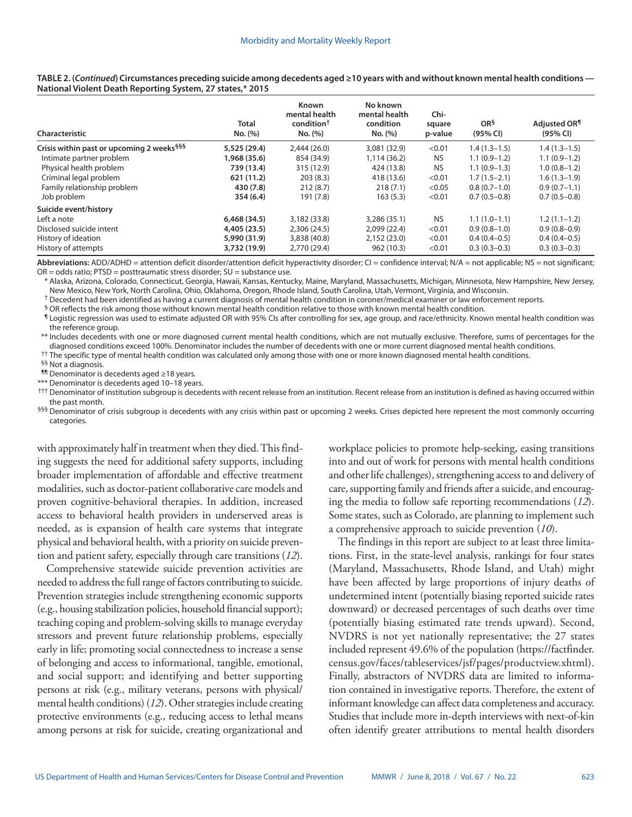| Characteristic                                        | <b>Total</b><br>No. (%) | <b>Known</b><br>mental health<br>condition <sup>†</sup><br>No. (%) | No known<br>mental health<br>condition<br>No. (%) | Chi-<br>square<br>p-value | OR <sup>§</sup><br>(95% CI) | Adjusted OR <sup>¶</sup><br>(95% CI) |
|-------------------------------------------------------|-------------------------|--------------------------------------------------------------------|---------------------------------------------------|---------------------------|-----------------------------|--------------------------------------|
| Crisis within past or upcoming 2 weeks <sup>§§§</sup> | 5,525 (29.4)            | 2,444(26.0)                                                        | 3,081 (32.9)                                      | < 0.01                    | $1.4(1.3-1.5)$              | $1.4(1.3-1.5)$                       |
| Intimate partner problem                              | I,968 (35.6)            | 854 (34.9)                                                         | 1,114 (36.2)                                      | <b>NS</b>                 | $1.1(0.9-1.2)$              | $1.1(0.9-1.2)$                       |
| Physical health problem                               | 739 (13.4)              | 315 (12.9)                                                         | 424 (13.8)                                        | <b>NS</b>                 | $1.1(0.9-1.3)$              | $1.0(0.8-1.2)$                       |
| Criminal legal problem                                | 621 (11.2)              | 203(8.3)                                                           | 418 (13.6)                                        | < 0.01                    | $1.7(1.5-2.1)$              | $1.6(1.3-1.9)$                       |
| Family relationship problem                           | 430 (7.8)               | 212(8.7)                                                           | 218(7.1)                                          | < 0.05                    | $0.8(0.7-1.0)$              | $0.9(0.7-1.1)$                       |
| Job problem                                           | 354(6.4)                | 191 (7.8)                                                          | 163(5.3)                                          | < 0.01                    | $0.7(0.5-0.8)$              | $0.7(0.5-0.8)$                       |
| Suicide event/history                                 |                         |                                                                    |                                                   |                           |                             |                                      |
| Left a note                                           | 6,468(34.5)             | 3,182 (33.8)                                                       | 3,286 (35.1)                                      | <b>NS</b>                 | $1.1(1.0-1.1)$              | $1.2(1.1-1.2)$                       |
| Disclosed suicide intent                              | 4,405 (23.5)            | 2,306 (24.5)                                                       | 2,099 (22.4)                                      | < 0.01                    | $0.9(0.8-1.0)$              | $0.9(0.8-0.9)$                       |
| History of ideation                                   | 5,990 (31.9)            | 3,838 (40.8)                                                       | 2,152 (23.0)                                      | < 0.01                    | $0.4(0.4-0.5)$              | $0.4(0.4-0.5)$                       |
| History of attempts                                   | 3,732 (19.9)            | 2,770 (29.4)                                                       | 962 (10.3)                                        | < 0.01                    | $0.3(0.3-0.3)$              | $0.3(0.3-0.3)$                       |

**TABLE 2. (***Continued***) Circumstances preceding suicide among decedents aged ≥10 years with and without known mental health conditions — National Violent Death Reporting System, 27 states,\* 2015**

Abbreviations: ADD/ADHD = attention deficit disorder/attention deficit hyperactivity disorder; CI = confidence interval; N/A = not applicable; NS = not significant; OR = odds ratio; PTSD = posttraumatic stress disorder; SU = substance use.

\* Alaska, Arizona, Colorado, Connecticut, Georgia, Hawaii, Kansas, Kentucky, Maine, Maryland, Massachusetts, Michigan, Minnesota, New Hampshire, New Jersey, New Mexico, New York, North Carolina, Ohio, Oklahoma, Oregon, Rhode Island, South Carolina, Utah, Vermont, Virginia, and Wisconsin.

<sup>†</sup> Decedent had been identified as having a current diagnosis of mental health condition in coroner/medical examiner or law enforcement reports.

§ OR reflects the risk among those without known mental health condition relative to those with known mental health condition.

¶ Logistic regression was used to estimate adjusted OR with 95% CIs after controlling for sex, age group, and race/ethnicity. Known mental health condition was the reference group.

\*\* Includes decedents with one or more diagnosed current mental health conditions, which are not mutually exclusive. Therefore, sums of percentages for the diagnosed conditions exceed 100%. Denominator includes the number of decedents with one or more current diagnosed mental health conditions.

<sup>††</sup> The specific type of mental health condition was calculated only among those with one or more known diagnosed mental health conditions.

§§ Not a diagnosis.

¶¶ Denominator is decedents aged ≥18 years.

\*\*\* Denominator is decedents aged 10–18 years.

††† Denominator of institution subgroup is decedents with recent release from an institution. Recent release from an institution is defined as having occurred within the past month.

<sup>§§§</sup> Denominator of crisis subgroup is decedents with any crisis within past or upcoming 2 weeks. Crises depicted here represent the most commonly occurring categories.

with approximately half in treatment when they died. This finding suggests the need for additional safety supports, including broader implementation of affordable and effective treatment modalities, such as doctor-patient collaborative care models and proven cognitive-behavioral therapies. In addition, increased access to behavioral health providers in underserved areas is needed, as is expansion of health care systems that integrate physical and behavioral health, with a priority on suicide prevention and patient safety, especially through care transitions (*12*).

Comprehensive statewide suicide prevention activities are needed to address the full range of factors contributing to suicide. Prevention strategies include strengthening economic supports (e.g., housing stabilization policies, household financial support); teaching coping and problem-solving skills to manage everyday stressors and prevent future relationship problems, especially early in life; promoting social connectedness to increase a sense of belonging and access to informational, tangible, emotional, and social support; and identifying and better supporting persons at risk (e.g., military veterans, persons with physical/ mental health conditions) (*12*). Other strategies include creating protective environments (e.g., reducing access to lethal means among persons at risk for suicide, creating organizational and

workplace policies to promote help-seeking, easing transitions into and out of work for persons with mental health conditions and other life challenges), strengthening access to and delivery of care, supporting family and friends after a suicide, and encouraging the media to follow safe reporting recommendations (*12*). Some states, such as Colorado, are planning to implement such a comprehensive approach to suicide prevention (*10*).

The findings in this report are subject to at least three limitations. First, in the state-level analysis, rankings for four states (Maryland, Massachusetts, Rhode Island, and Utah) might have been affected by large proportions of injury deaths of undetermined intent (potentially biasing reported suicide rates downward) or decreased percentages of such deaths over time (potentially biasing estimated rate trends upward). Second, NVDRS is not yet nationally representative; the 27 states included represent 49.6% of the population ([https://factfinder.](https://factfinder.census.gov/faces/tableservices/jsf/pages/productview.xhtml?pid=PEP_2017_PEPANNRES&src=pt) [census.gov/faces/tableservices/jsf/pages/productview.xhtml\)](https://factfinder.census.gov/faces/tableservices/jsf/pages/productview.xhtml?pid=PEP_2017_PEPANNRES&src=pt). Finally, abstractors of NVDRS data are limited to information contained in investigative reports. Therefore, the extent of informant knowledge can affect data completeness and accuracy. Studies that include more in-depth interviews with next-of-kin often identify greater attributions to mental health disorders